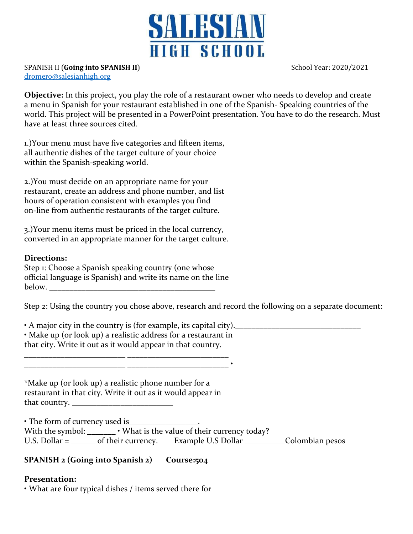

SPANISH II (**Going into SPANISH II**) School Year: 2020/2021

[dromero@salesianhigh.org](mailto:dromero@salesianhigh.org)

**Objective:** In this project, you play the role of a restaurant owner who needs to develop and create a menu in Spanish for your restaurant established in one of the Spanish- Speaking countries of the world. This project will be presented in a PowerPoint presentation. You have to do the research. Must have at least three sources cited.

1.)Your menu must have five categories and fifteen items, all authentic dishes of the target culture of your choice within the Spanish-speaking world.

2.)You must decide on an appropriate name for your restaurant, create an address and phone number, and list hours of operation consistent with examples you find on-line from authentic restaurants of the target culture.

3.)Your menu items must be priced in the local currency, converted in an appropriate manner for the target culture.

## **Directions:**

Step 1: Choose a Spanish speaking country (one whose official language is Spanish) and write its name on the line below. \_\_\_\_\_\_\_\_\_\_\_\_\_\_\_\_\_\_\_\_\_\_\_\_\_\_\_\_\_\_\_\_\_\_\_\_\_\_\_\_\_

Step 2: Using the country you chose above, research and record the following on a separate document:

• A major city in the country is (for example, its capital city).\_\_\_\_\_\_\_\_\_\_\_\_\_\_\_\_\_\_\_\_\_\_\_\_\_\_\_\_\_\_\_ • Make up (or look up) a realistic address for a restaurant in that city. Write it out as it would appear in that country.

\_\_\_\_\_\_\_\_\_\_\_\_\_\_\_\_\_\_\_\_\_\_\_\_\_ \_\_\_\_\_\_\_\_\_\_\_\_\_\_\_\_\_\_\_\_\_\_\_\_\_ •

\*Make up (or look up) a realistic phone number for a restaurant in that city. Write it out as it would appear in that country. \_\_\_\_\_\_\_\_\_\_\_\_\_\_\_\_\_\_\_\_\_\_\_\_\_

\_\_\_\_\_\_\_\_\_\_\_\_\_\_\_\_\_\_\_\_\_\_\_\_\_ \_\_\_\_\_\_\_\_\_\_\_\_\_\_\_\_\_\_\_\_\_\_\_\_\_

• The form of currency used is\_\_\_\_\_\_\_\_\_\_\_\_\_\_\_\_\_. With the symbol: \_\_\_\_\_\_\_\_\_. What is the value of their currency today? U.S. Dollar = \_\_\_\_\_\_ of their currency. Example U.S Dollar \_\_\_\_\_\_\_\_\_\_\_\_Colombian pesos

## **SPANISH 2 (Going into Spanish 2) Course:504**

## **Presentation:**

• What are four typical dishes / items served there for